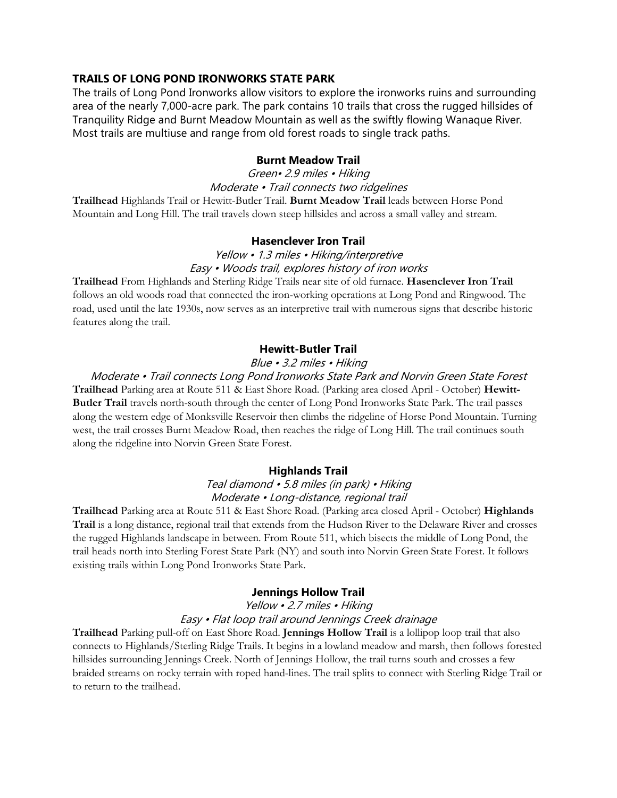# TRAILS OF LONG POND IRONWORKS STATE PARK

The trails of Long Pond Ironworks allow visitors to explore the ironworks ruins and surrounding area of the nearly 7,000-acre park. The park contains 10 trails that cross the rugged hillsides of Tranquility Ridge and Burnt Meadow Mountain as well as the swiftly flowing Wanaque River. Most trails are multiuse and range from old forest roads to single track paths.

## Burnt Meadow Trail

# Green• 2.9 miles • Hiking Moderate • Trail connects two ridgelines

Trailhead Highlands Trail or Hewitt-Butler Trail. Burnt Meadow Trail leads between Horse Pond Mountain and Long Hill. The trail travels down steep hillsides and across a small valley and stream.

## Hasenclever Iron Trail

# Yellow • 1.3 miles • Hiking/interpretive Easy • Woods trail, explores history of iron works

Trailhead From Highlands and Sterling Ridge Trails near site of old furnace. Hasenclever Iron Trail follows an old woods road that connected the iron-working operations at Long Pond and Ringwood. The road, used until the late 1930s, now serves as an interpretive trail with numerous signs that describe historic features along the trail.

## Hewitt-Butler Trail

## Blue • 3.2 miles • Hiking

## Moderate • Trail connects Long Pond Ironworks State Park and Norvin Green State Forest

Trailhead Parking area at Route 511 & East Shore Road. (Parking area closed April - October) Hewitt-Butler Trail travels north-south through the center of Long Pond Ironworks State Park. The trail passes along the western edge of Monksville Reservoir then climbs the ridgeline of Horse Pond Mountain. Turning west, the trail crosses Burnt Meadow Road, then reaches the ridge of Long Hill. The trail continues south along the ridgeline into Norvin Green State Forest.

### Highlands Trail

## Teal diamond • 5.8 miles (in park) • Hiking Moderate • Long-distance, regional trail

Trailhead Parking area at Route 511 & East Shore Road. (Parking area closed April - October) Highlands Trail is a long distance, regional trail that extends from the Hudson River to the Delaware River and crosses the rugged Highlands landscape in between. From Route 511, which bisects the middle of Long Pond, the trail heads north into Sterling Forest State Park (NY) and south into Norvin Green State Forest. It follows existing trails within Long Pond Ironworks State Park.

### Jennings Hollow Trail

## Yellow • 2.7 miles • Hiking Easy • Flat loop trail around Jennings Creek drainage

Trailhead Parking pull-off on East Shore Road. Jennings Hollow Trail is a lollipop loop trail that also connects to Highlands/Sterling Ridge Trails. It begins in a lowland meadow and marsh, then follows forested hillsides surrounding Jennings Creek. North of Jennings Hollow, the trail turns south and crosses a few braided streams on rocky terrain with roped hand-lines. The trail splits to connect with Sterling Ridge Trail or to return to the trailhead.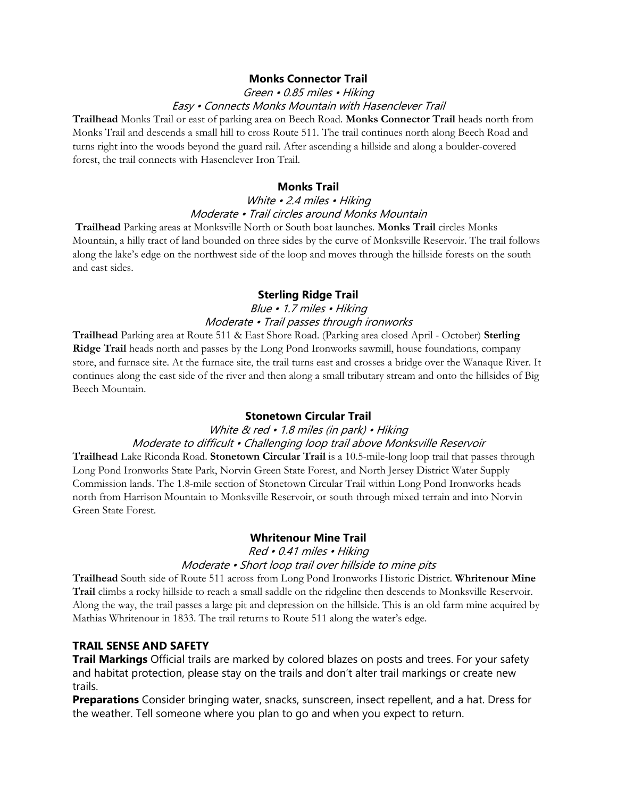## Monks Connector Trail

#### Green • 0.85 miles • Hiking Easy • Connects Monks Mountain with Hasenclever Trail

Trailhead Monks Trail or east of parking area on Beech Road. Monks Connector Trail heads north from Monks Trail and descends a small hill to cross Route 511. The trail continues north along Beech Road and turns right into the woods beyond the guard rail. After ascending a hillside and along a boulder-covered forest, the trail connects with Hasenclever Iron Trail.

#### Monks Trail

# White · 2.4 miles · Hiking Moderate • Trail circles around Monks Mountain

 Trailhead Parking areas at Monksville North or South boat launches. Monks Trail circles Monks Mountain, a hilly tract of land bounded on three sides by the curve of Monksville Reservoir. The trail follows along the lake's edge on the northwest side of the loop and moves through the hillside forests on the south and east sides.

## Sterling Ridge Trail

## Blue • 1.7 miles • Hiking Moderate • Trail passes through ironworks

Trailhead Parking area at Route 511 & East Shore Road. (Parking area closed April - October) Sterling Ridge Trail heads north and passes by the Long Pond Ironworks sawmill, house foundations, company store, and furnace site. At the furnace site, the trail turns east and crosses a bridge over the Wanaque River. It continues along the east side of the river and then along a small tributary stream and onto the hillsides of Big Beech Mountain.

#### Stonetown Circular Trail

## White & red • 1.8 miles (in park) • Hiking Moderate to difficult • Challenging loop trail above Monksville Reservoir

Trailhead Lake Riconda Road. Stonetown Circular Trail is a 10.5-mile-long loop trail that passes through Long Pond Ironworks State Park, Norvin Green State Forest, and North Jersey District Water Supply Commission lands. The 1.8-mile section of Stonetown Circular Trail within Long Pond Ironworks heads north from Harrison Mountain to Monksville Reservoir, or south through mixed terrain and into Norvin Green State Forest.

## Whritenour Mine Trail

Red • 0.41 miles • Hiking

#### Moderate • Short loop trail over hillside to mine pits

Trailhead South side of Route 511 across from Long Pond Ironworks Historic District. Whritenour Mine Trail climbs a rocky hillside to reach a small saddle on the ridgeline then descends to Monksville Reservoir. Along the way, the trail passes a large pit and depression on the hillside. This is an old farm mine acquired by Mathias Whritenour in 1833. The trail returns to Route 511 along the water's edge.

## TRAIL SENSE AND SAFETY

Trail Markings Official trails are marked by colored blazes on posts and trees. For your safety and habitat protection, please stay on the trails and don't alter trail markings or create new trails.

Preparations Consider bringing water, snacks, sunscreen, insect repellent, and a hat. Dress for the weather. Tell someone where you plan to go and when you expect to return.